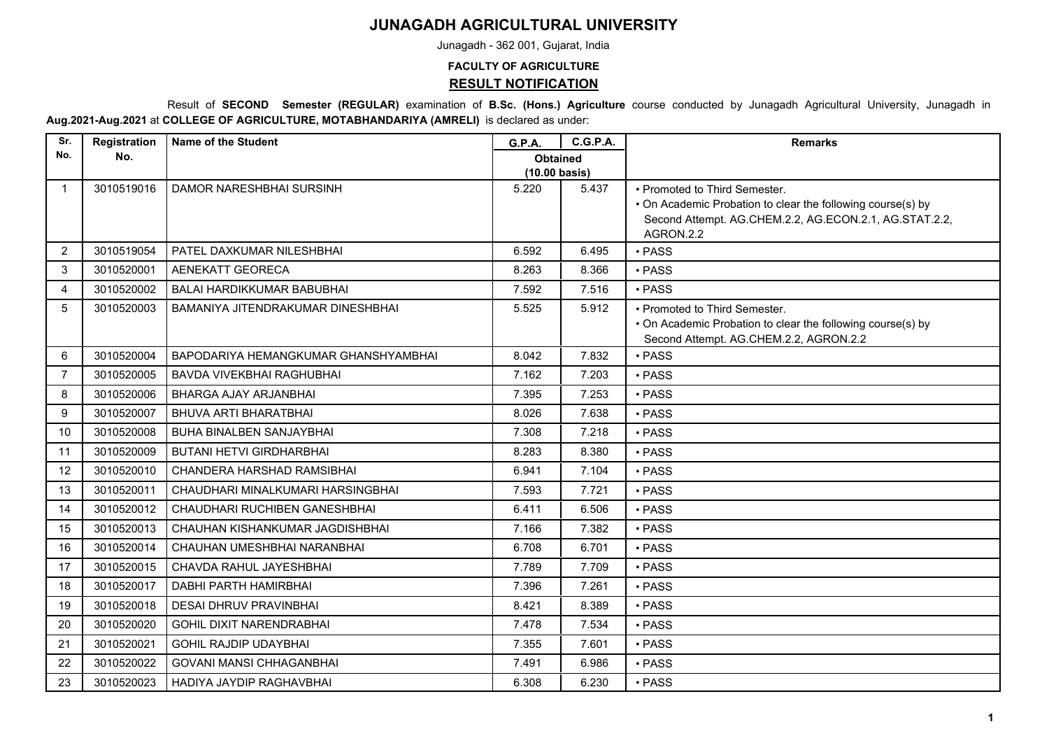## **JUNAGADH AGRICULTURAL UNIVERSITY**

Junagadh - 362 001, Gujarat, India

## **FACULTY OF AGRICULTURE RESULT NOTIFICATION**

 Result of **SECOND Semester (REGULAR)** examination of **B.Sc. (Hons.) Agriculture** course conducted by Junagadh Agricultural University, Junagadh in **Aug.2021-Aug.2021** at **COLLEGE OF AGRICULTURE, MOTABHANDARIYA (AMRELI)** is declared as under:

| Sr.            | Registration | <b>Name of the Student</b>           | <b>G.P.A.</b>                              | <b>C.G.P.A.</b> | <b>Remarks</b>                                                                                        |
|----------------|--------------|--------------------------------------|--------------------------------------------|-----------------|-------------------------------------------------------------------------------------------------------|
| No.            | No.          |                                      | <b>Obtained</b><br>$(10.00 \text{ basis})$ |                 |                                                                                                       |
| $\mathbf{1}$   | 3010519016   | DAMOR NARESHBHAI SURSINH             | 5.220                                      | 5.437           | • Promoted to Third Semester.                                                                         |
|                |              |                                      |                                            |                 | • On Academic Probation to clear the following course(s) by                                           |
|                |              |                                      |                                            |                 | Second Attempt. AG.CHEM.2.2, AG.ECON.2.1, AG.STAT.2.2,<br>AGRON.2.2                                   |
| 2              | 3010519054   | PATEL DAXKUMAR NILESHBHAI            | 6.592                                      | 6.495           | · PASS                                                                                                |
| 3              | 3010520001   | <b>AENEKATT GEORECA</b>              | 8.263                                      | 8.366           | $\cdot$ PASS                                                                                          |
|                |              |                                      |                                            |                 |                                                                                                       |
| 4              | 3010520002   | BALAI HARDIKKUMAR BABUBHAI           | 7.592                                      | 7.516           | · PASS                                                                                                |
| 5              | 3010520003   | BAMANIYA JITENDRAKUMAR DINESHBHAI    | 5.525                                      | 5.912           | • Promoted to Third Semester.                                                                         |
|                |              |                                      |                                            |                 | • On Academic Probation to clear the following course(s) by<br>Second Attempt. AG.CHEM.2.2, AGRON.2.2 |
| 6              | 3010520004   | BAPODARIYA HEMANGKUMAR GHANSHYAMBHAI | 8.042                                      | 7.832           | • PASS                                                                                                |
| $\overline{7}$ | 3010520005   | <b>BAVDA VIVEKBHAI RAGHUBHAI</b>     | 7.162                                      | 7.203           | · PASS                                                                                                |
| 8              | 3010520006   | <b>BHARGA AJAY ARJANBHAI</b>         | 7.395                                      | 7.253           | · PASS                                                                                                |
| 9              | 3010520007   | <b>BHUVA ARTI BHARATBHAI</b>         | 8.026                                      | 7.638           | · PASS                                                                                                |
| 10             | 3010520008   | <b>BUHA BINALBEN SANJAYBHAI</b>      | 7.308                                      | 7.218           | · PASS                                                                                                |
| 11             | 3010520009   | <b>BUTANI HETVI GIRDHARBHAI</b>      | 8.283                                      | 8.380           | • PASS                                                                                                |
| 12             | 3010520010   | CHANDERA HARSHAD RAMSIBHAI           | 6.941                                      | 7.104           | $\cdot$ PASS                                                                                          |
| 13             | 3010520011   | CHAUDHARI MINALKUMARI HARSINGBHAI    | 7.593                                      | 7.721           | · PASS                                                                                                |
| 14             | 3010520012   | CHAUDHARI RUCHIBEN GANESHBHAI        | 6.411                                      | 6.506           | · PASS                                                                                                |
| 15             | 3010520013   | CHAUHAN KISHANKUMAR JAGDISHBHAI      | 7.166                                      | 7.382           | • PASS                                                                                                |
| 16             | 3010520014   | CHAUHAN UMESHBHAI NARANBHAI          | 6.708                                      | 6.701           | · PASS                                                                                                |
| 17             | 3010520015   | CHAVDA RAHUL JAYESHBHAI              | 7.789                                      | 7.709           | • PASS                                                                                                |
| 18             | 3010520017   | <b>DABHI PARTH HAMIRBHAI</b>         | 7.396                                      | 7.261           | · PASS                                                                                                |
| 19             | 3010520018   | <b>DESAI DHRUV PRAVINBHAI</b>        | 8.421                                      | 8.389           | · PASS                                                                                                |
| 20             | 3010520020   | <b>GOHIL DIXIT NARENDRABHAI</b>      | 7.478                                      | 7.534           | · PASS                                                                                                |
| 21             | 3010520021   | <b>GOHIL RAJDIP UDAYBHAI</b>         | 7.355                                      | 7.601           | • PASS                                                                                                |
| 22             | 3010520022   | <b>GOVANI MANSI CHHAGANBHAI</b>      | 7.491                                      | 6.986           | · PASS                                                                                                |
| 23             | 3010520023   | HADIYA JAYDIP RAGHAVBHAI             | 6.308                                      | 6.230           | • PASS                                                                                                |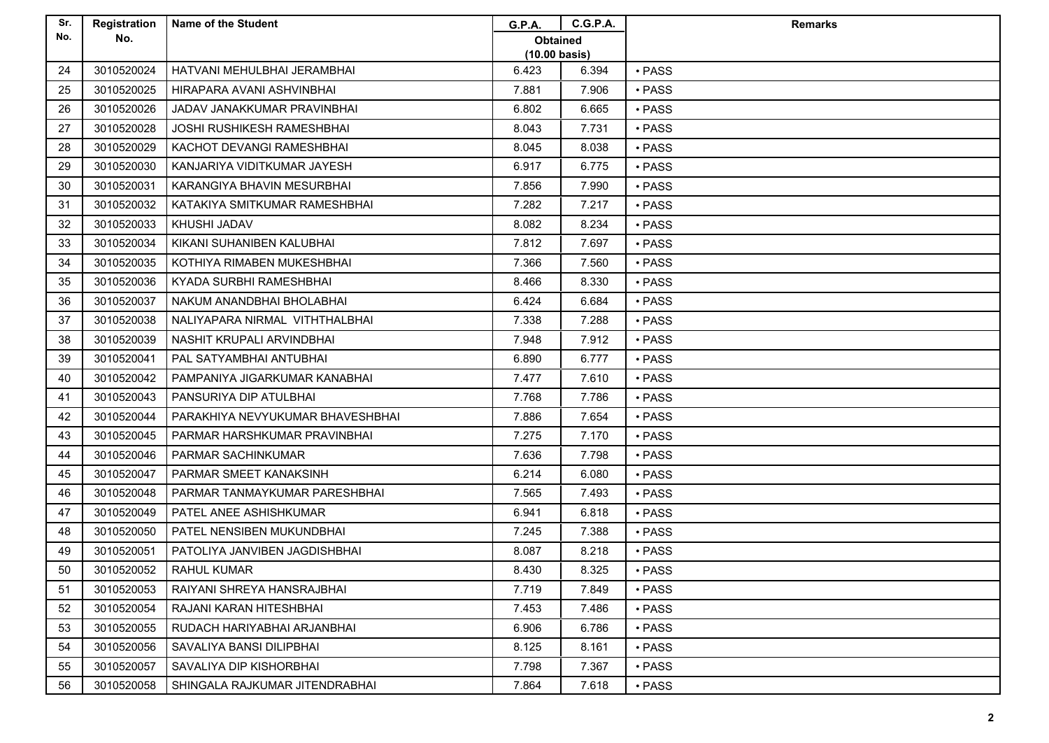| Sr. | Registration | <b>Name of the Student</b>         | <b>G.P.A.</b>           | <b>C.G.P.A.</b> | <b>Remarks</b> |
|-----|--------------|------------------------------------|-------------------------|-----------------|----------------|
| No. | No.          |                                    | Obtained                |                 |                |
|     |              |                                    | $(10.00 \text{ basis})$ |                 |                |
| 24  | 3010520024   | HATVANI MEHULBHAI JERAMBHAI        | 6.423                   | 6.394           | $\cdot$ PASS   |
| 25  | 3010520025   | HIRAPARA AVANI ASHVINBHAI          | 7.881                   | 7.906           | • PASS         |
| 26  | 3010520026   | <b>JADAV JANAKKUMAR PRAVINBHAI</b> | 6.802                   | 6.665           | • PASS         |
| 27  | 3010520028   | <b>JOSHI RUSHIKESH RAMESHBHAI</b>  | 8.043                   | 7.731           | • PASS         |
| 28  | 3010520029   | KACHOT DEVANGI RAMESHBHAI          | 8.045                   | 8.038           | • PASS         |
| 29  | 3010520030   | KANJARIYA VIDITKUMAR JAYESH        | 6.917                   | 6.775           | $\cdot$ PASS   |
| 30  | 3010520031   | KARANGIYA BHAVIN MESURBHAI         | 7.856                   | 7.990           | • PASS         |
| 31  | 3010520032   | KATAKIYA SMITKUMAR RAMESHBHAI      | 7.282                   | 7.217           | • PASS         |
| 32  | 3010520033   | KHUSHI JADAV                       | 8.082                   | 8.234           | • PASS         |
| 33  | 3010520034   | KIKANI SUHANIBEN KALUBHAI          | 7.812                   | 7.697           | • PASS         |
| 34  | 3010520035   | KOTHIYA RIMABEN MUKESHBHAI         | 7.366                   | 7.560           | • PASS         |
| 35  | 3010520036   | <b>KYADA SURBHI RAMESHBHAI</b>     | 8.466                   | 8.330           | • PASS         |
| 36  | 3010520037   | NAKUM ANANDBHAI BHOLABHAI          | 6.424                   | 6.684           | • PASS         |
| 37  | 3010520038   | NALIYAPARA NIRMAL VITHTHALBHAI     | 7.338                   | 7.288           | · PASS         |
| 38  | 3010520039   | NASHIT KRUPALI ARVINDBHAI          | 7.948                   | 7.912           | • PASS         |
| 39  | 3010520041   | PAL SATYAMBHAI ANTUBHAI            | 6.890                   | 6.777           | • PASS         |
| 40  | 3010520042   | PAMPANIYA JIGARKUMAR KANABHAI      | 7.477                   | 7.610           | • PASS         |
| 41  | 3010520043   | PANSURIYA DIP ATULBHAI             | 7.768                   | 7.786           | • PASS         |
| 42  | 3010520044   | PARAKHIYA NEVYUKUMAR BHAVESHBHAI   | 7.886                   | 7.654           | · PASS         |
| 43  | 3010520045   | PARMAR HARSHKUMAR PRAVINBHAI       | 7.275                   | 7.170           | • PASS         |
| 44  | 3010520046   | PARMAR SACHINKUMAR                 | 7.636                   | 7.798           | • PASS         |
| 45  | 3010520047   | PARMAR SMEET KANAKSINH             | 6.214                   | 6.080           | $\cdot$ PASS   |
| 46  | 3010520048   | PARMAR TANMAYKUMAR PARESHBHAI      | 7.565                   | 7.493           | • PASS         |
| 47  | 3010520049   | PATEL ANEE ASHISHKUMAR             | 6.941                   | 6.818           | • PASS         |
| 48  | 3010520050   | PATEL NENSIBEN MUKUNDBHAI          | 7.245                   | 7.388           | • PASS         |
| 49  | 3010520051   | PATOLIYA JANVIBEN JAGDISHBHAI      | 8.087                   | 8.218           | • PASS         |
| 50  | 3010520052   | <b>RAHUL KUMAR</b>                 | 8.430                   | 8.325           | • PASS         |
| 51  | 3010520053   | RAIYANI SHREYA HANSRAJBHAI         | 7.719                   | 7.849           | • PASS         |
| 52  | 3010520054   | RAJANI KARAN HITESHBHAI            | 7.453                   | 7.486           | $\cdot$ PASS   |
| 53  | 3010520055   | RUDACH HARIYABHAI ARJANBHAI        | 6.906                   | 6.786           | • PASS         |
| 54  | 3010520056   | SAVALIYA BANSI DILIPBHAI           | 8.125                   | 8.161           | • PASS         |
| 55  | 3010520057   | SAVALIYA DIP KISHORBHAI            | 7.798                   | 7.367           | • PASS         |
| 56  | 3010520058   | SHINGALA RAJKUMAR JITENDRABHAI     | 7.864                   | 7.618           | • PASS         |